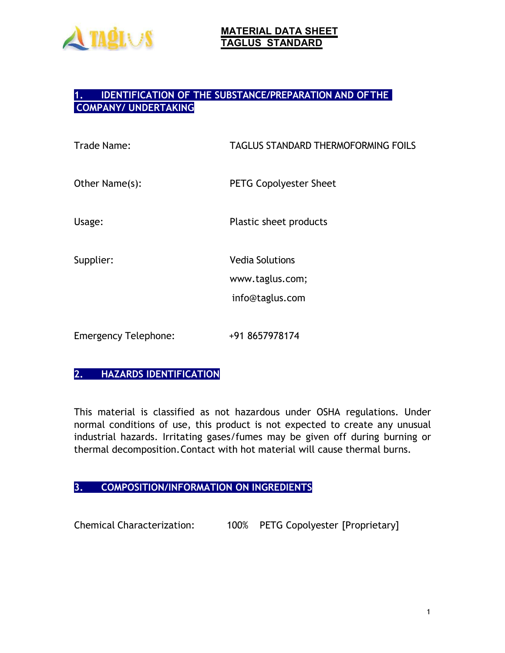

### **1. IDENTIFICATION OF THE SUBSTANCE/PREPARATION AND OFTHE COMPANY/ UNDERTAKING**

| Trade Name:                 | <b>TAGLUS STANDARD THERMOFORMING FOILS</b>                   |
|-----------------------------|--------------------------------------------------------------|
| Other Name(s):              | <b>PETG Copolyester Sheet</b>                                |
| Usage:                      | Plastic sheet products                                       |
| Supplier:                   | <b>Vedia Solutions</b><br>www.taglus.com;<br>info@taglus.com |
| <b>Emergency Telephone:</b> | +91 8657978174                                               |

# **2. HAZARDS IDENTIFICATION**

This material is classified as not hazardous under OSHA regulations. Under normal conditions of use, this product is not expected to create any unusual industrial hazards. Irritating gases/fumes may be given off during burning or thermal decomposition.Contact with hot material will cause thermal burns.

## **3. COMPOSITION/INFORMATION ON INGREDIENTS**

Chemical Characterization: 100% PETG Copolyester [Proprietary]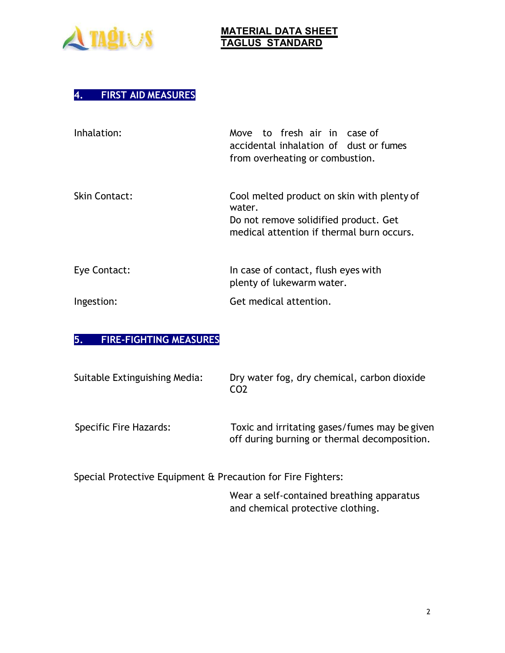

# **4. FIRST AID MEASURES**

| Inhalation:          | Move to fresh air in case of<br>accidental inhalation of dust or fumes<br>from overheating or combustion.                                  |
|----------------------|--------------------------------------------------------------------------------------------------------------------------------------------|
| <b>Skin Contact:</b> | Cool melted product on skin with plenty of<br>water.<br>Do not remove solidified product. Get<br>medical attention if thermal burn occurs. |
| Eye Contact:         | In case of contact, flush eyes with<br>plenty of lukewarm water.                                                                           |
| Ingestion:           | Get medical attention.                                                                                                                     |

#### **5. FIRE-FIGHTING MEASURES**

| Suitable Extinguishing Media: | Dry water fog, dry chemical, carbon dioxide<br>CO <sub>2</sub>                                |
|-------------------------------|-----------------------------------------------------------------------------------------------|
| Specific Fire Hazards:        | Toxic and irritating gases/fumes may be given<br>off during burning or thermal decomposition. |
|                               |                                                                                               |

Special Protective Equipment & Precaution for Fire Fighters:

Wear a self-contained breathing apparatus and chemical protective clothing.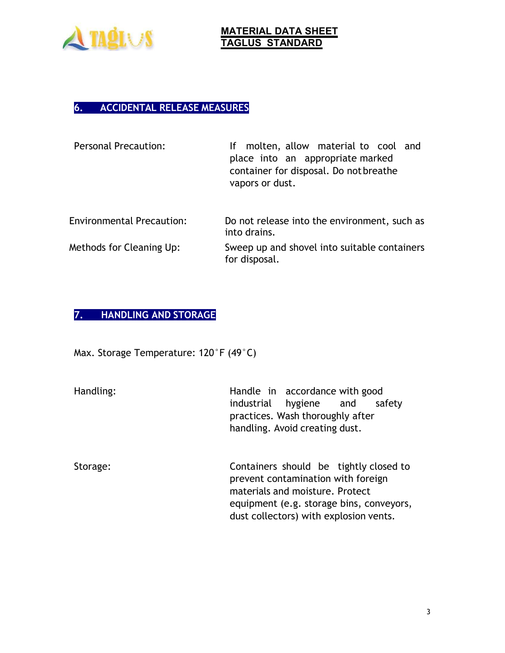

# **6. ACCIDENTAL RELEASE MEASURES**

| <b>Personal Precaution:</b>      | molten, allow material to cool and<br>lf.<br>place into an appropriate marked<br>container for disposal. Do not breathe<br>vapors or dust. |
|----------------------------------|--------------------------------------------------------------------------------------------------------------------------------------------|
| <b>Environmental Precaution:</b> | Do not release into the environment, such as<br>into drains.                                                                               |
| Methods for Cleaning Up:         | Sweep up and shovel into suitable containers<br>for disposal.                                                                              |

# **7. HANDLING AND STORAGE**

Max. Storage Temperature: 120°F (49°C)

| Handling: | Handle in accordance with good<br>industrial hygiene and<br>safety<br>practices. Wash thoroughly after<br>handling. Avoid creating dust.                                                              |
|-----------|-------------------------------------------------------------------------------------------------------------------------------------------------------------------------------------------------------|
| Storage:  | Containers should be tightly closed to<br>prevent contamination with foreign<br>materials and moisture. Protect<br>equipment (e.g. storage bins, conveyors,<br>dust collectors) with explosion vents. |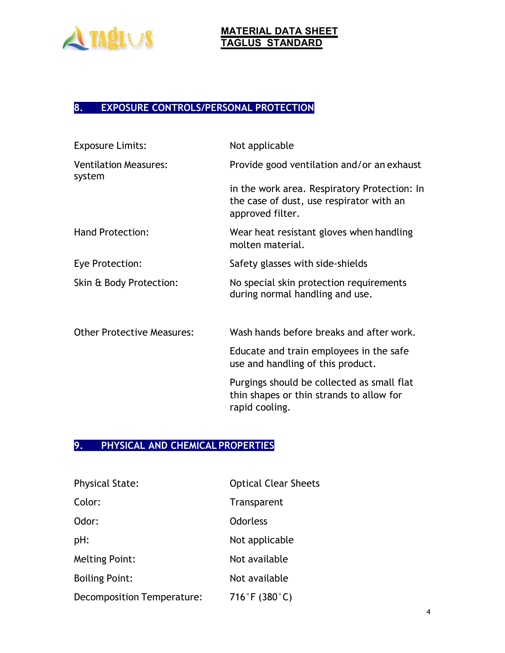

# **8. EXPOSURE CONTROLS/PERSONAL PROTECTION**

| <b>Exposure Limits:</b>                | Not applicable                                                                                               |
|----------------------------------------|--------------------------------------------------------------------------------------------------------------|
| <b>Ventilation Measures:</b><br>system | Provide good ventilation and/or an exhaust                                                                   |
|                                        | in the work area. Respiratory Protection: In<br>the case of dust, use respirator with an<br>approved filter. |
| <b>Hand Protection:</b>                | Wear heat resistant gloves when handling<br>molten material.                                                 |
| Eye Protection:                        | Safety glasses with side-shields                                                                             |
| Skin & Body Protection:                | No special skin protection requirements<br>during normal handling and use.                                   |
| <b>Other Protective Measures:</b>      | Wash hands before breaks and after work.                                                                     |
|                                        | Educate and train employees in the safe<br>use and handling of this product.                                 |
|                                        | Purgings should be collected as small flat<br>thin shapes or thin strands to allow for<br>rapid cooling.     |

## **9. PHYSICAL AND CHEMICAL PROPERTIES**

| <b>Physical State:</b>     | <b>Optical Clear Sheets</b> |
|----------------------------|-----------------------------|
| Color:                     | Transparent                 |
| Odor:                      | <b>Odorless</b>             |
| pH:                        | Not applicable              |
| <b>Melting Point:</b>      | Not available               |
| <b>Boiling Point:</b>      | Not available               |
| Decomposition Temperature: | 716°F (380°C)               |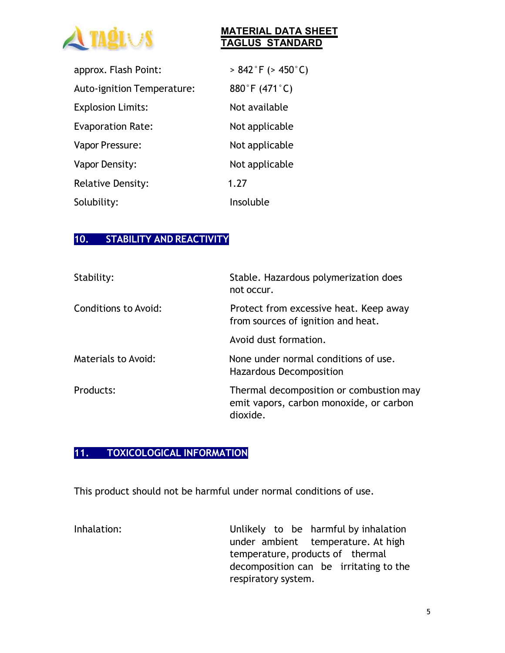

| approx. Flash Point:       | $> 842$ °F ( $> 450$ °C) |
|----------------------------|--------------------------|
| Auto-ignition Temperature: | 880°F (471°C)            |
| <b>Explosion Limits:</b>   | Not available            |
| <b>Evaporation Rate:</b>   | Not applicable           |
| Vapor Pressure:            | Not applicable           |
| Vapor Density:             | Not applicable           |
| <b>Relative Density:</b>   | 1.27                     |
| Solubility:                | Insoluble                |

#### **10. STABILITY AND REACTIVITY**

| Stability:                 | Stable. Hazardous polymerization does<br>not occur.                                            |
|----------------------------|------------------------------------------------------------------------------------------------|
| Conditions to Avoid:       | Protect from excessive heat. Keep away<br>from sources of ignition and heat.                   |
|                            | Avoid dust formation.                                                                          |
| <b>Materials to Avoid:</b> | None under normal conditions of use.<br>Hazardous Decomposition                                |
| Products:                  | Thermal decomposition or combustion may<br>emit vapors, carbon monoxide, or carbon<br>dioxide. |

## **11. TOXICOLOGICAL INFORMATION**

This product should not be harmful under normal conditions of use.

Inhalation: Unlikely to be harmful by inhalation under ambient temperature. At high temperature, products of thermal decomposition can be irritating to the respiratory system.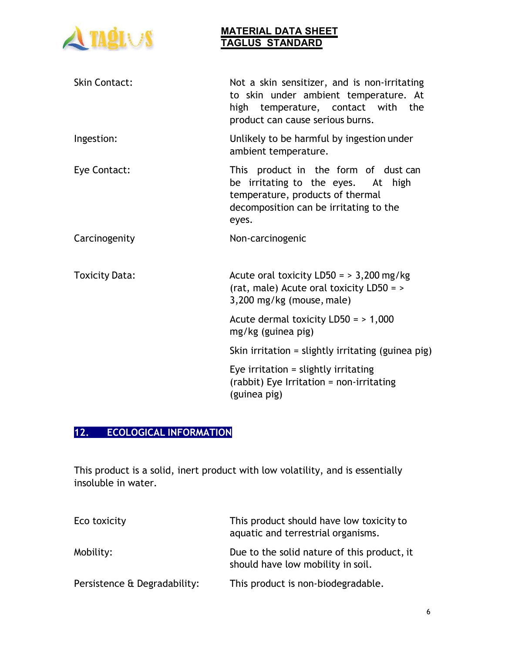

| <b>Skin Contact:</b>  | Not a skin sensitizer, and is non-irritating<br>to skin under ambient temperature. At<br>high temperature, contact with the<br>product can cause serious burns.   |
|-----------------------|-------------------------------------------------------------------------------------------------------------------------------------------------------------------|
| Ingestion:            | Unlikely to be harmful by ingestion under<br>ambient temperature.                                                                                                 |
| Eye Contact:          | This product in the form of dust can<br>be irritating to the eyes. At high<br>temperature, products of thermal<br>decomposition can be irritating to the<br>eyes. |
| Carcinogenity         | Non-carcinogenic                                                                                                                                                  |
| <b>Toxicity Data:</b> | Acute oral toxicity LD50 = $>$ 3,200 mg/kg<br>(rat, male) Acute oral toxicity LD50 = ><br>$3,200$ mg/kg (mouse, male)                                             |
|                       | Acute dermal toxicity $LD50 = 1,000$<br>mg/kg (guinea pig)                                                                                                        |
|                       | Skin irritation = slightly irritating (guinea $\pi$ ig)                                                                                                           |
|                       | Eye irritation $=$ slightly irritating<br>(rabbit) Eye Irritation = non-irritating<br>(guinea pig)                                                                |

# **12. ECOLOGICAL INFORMATION**

This product is a solid, inert product with low volatility, and is essentially insoluble in water.

| Eco toxicity                 | This product should have low toxicity to<br>aquatic and terrestrial organisms.   |
|------------------------------|----------------------------------------------------------------------------------|
| Mobility:                    | Due to the solid nature of this product, it<br>should have low mobility in soil. |
| Persistence & Degradability: | This product is non-biodegradable.                                               |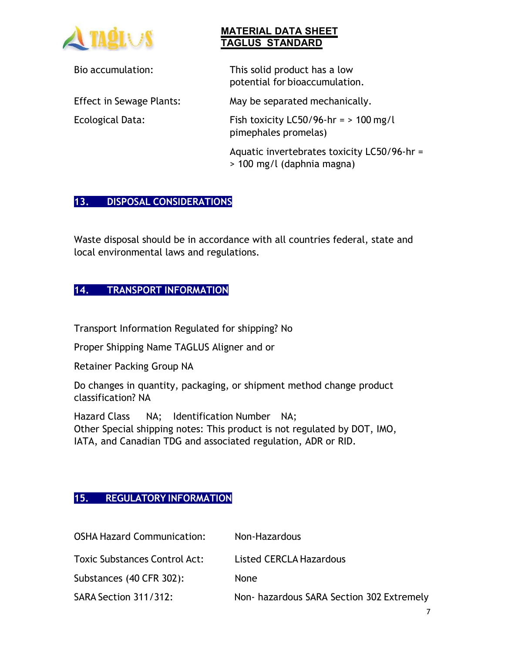

Bio accumulation: This solid product has a low potential for bioaccumulation.

Effect in Sewage Plants: May be separated mechanically.

Ecological Data: Fish toxicity LC50/96-hr = > 100 mg/l pimephales promelas)

> Aquatic invertebrates toxicity LC50/96-hr = > 100 mg/l (daphnia magna)

# **13. DISPOSAL CONSIDERATIONS**

Waste disposal should be in accordance with all countries federal, state and local environmental laws and regulations.

# **14. TRANSPORT INFORMATION**

Transport Information Regulated for shipping? No

Proper Shipping Name TAGLUS Aligner and or

Retainer Packing Group NA

Do changes in quantity, packaging, or shipment method change product classification? NA

Hazard Class NA; Identification Number NA; Other Special shipping notes: This product is not regulated by DOT, IMO, IATA, and Canadian TDG and associated regulation, ADR or RID.

## **15. REGULATORY INFORMATION**

| <b>OSHA Hazard Communication:</b>    | Non-Hazardous                             |
|--------------------------------------|-------------------------------------------|
| <b>Toxic Substances Control Act:</b> | Listed CERCLA Hazardous                   |
| Substances (40 CFR 302):             | <b>None</b>                               |
| SARA Section 311/312:                | Non- hazardous SARA Section 302 Extremely |